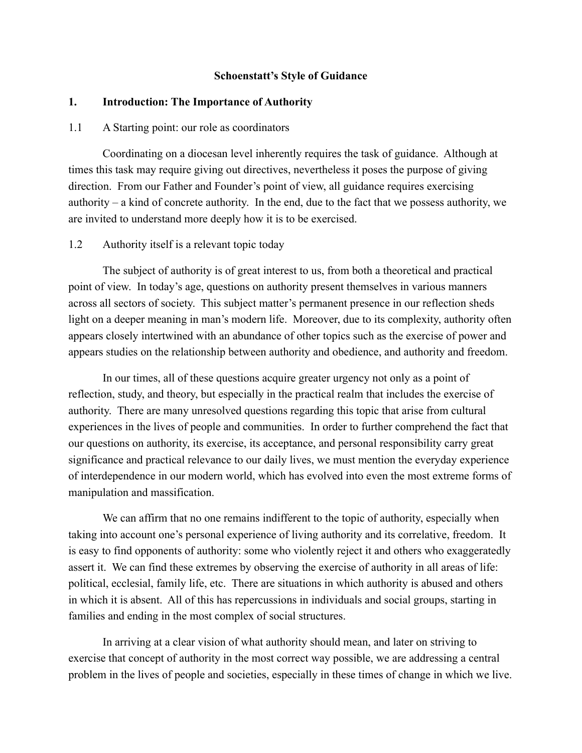#### **Schoenstatt's Style of Guidance**

#### **1. Introduction: The Importance of Authority**

### 1.1 A Starting point: our role as coordinators

 Coordinating on a diocesan level inherently requires the task of guidance. Although at times this task may require giving out directives, nevertheless it poses the purpose of giving direction. From our Father and Founder's point of view, all guidance requires exercising authority – a kind of concrete authority. In the end, due to the fact that we possess authority, we are invited to understand more deeply how it is to be exercised.

#### 1.2 Authority itself is a relevant topic today

 The subject of authority is of great interest to us, from both a theoretical and practical point of view. In today's age, questions on authority present themselves in various manners across all sectors of society. This subject matter's permanent presence in our reflection sheds light on a deeper meaning in man's modern life. Moreover, due to its complexity, authority often appears closely intertwined with an abundance of other topics such as the exercise of power and appears studies on the relationship between authority and obedience, and authority and freedom.

 In our times, all of these questions acquire greater urgency not only as a point of reflection, study, and theory, but especially in the practical realm that includes the exercise of authority. There are many unresolved questions regarding this topic that arise from cultural experiences in the lives of people and communities. In order to further comprehend the fact that our questions on authority, its exercise, its acceptance, and personal responsibility carry great significance and practical relevance to our daily lives, we must mention the everyday experience of interdependence in our modern world, which has evolved into even the most extreme forms of manipulation and massification.

 We can affirm that no one remains indifferent to the topic of authority, especially when taking into account one's personal experience of living authority and its correlative, freedom. It is easy to find opponents of authority: some who violently reject it and others who exaggeratedly assert it. We can find these extremes by observing the exercise of authority in all areas of life: political, ecclesial, family life, etc. There are situations in which authority is abused and others in which it is absent. All of this has repercussions in individuals and social groups, starting in families and ending in the most complex of social structures.

 In arriving at a clear vision of what authority should mean, and later on striving to exercise that concept of authority in the most correct way possible, we are addressing a central problem in the lives of people and societies, especially in these times of change in which we live.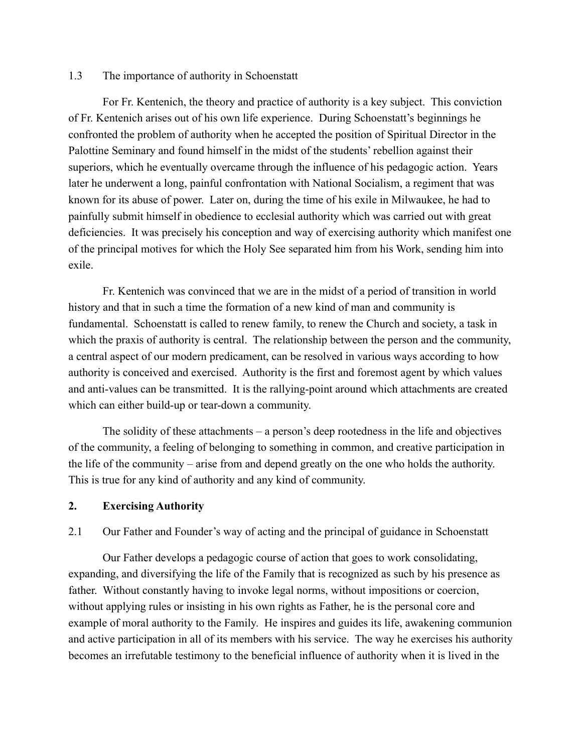### 1.3 The importance of authority in Schoenstatt

 For Fr. Kentenich, the theory and practice of authority is a key subject. This conviction of Fr. Kentenich arises out of his own life experience. During Schoenstatt's beginnings he confronted the problem of authority when he accepted the position of Spiritual Director in the Palottine Seminary and found himself in the midst of the students' rebellion against their superiors, which he eventually overcame through the influence of his pedagogic action. Years later he underwent a long, painful confrontation with National Socialism, a regiment that was known for its abuse of power. Later on, during the time of his exile in Milwaukee, he had to painfully submit himself in obedience to ecclesial authority which was carried out with great deficiencies. It was precisely his conception and way of exercising authority which manifest one of the principal motives for which the Holy See separated him from his Work, sending him into exile.

 Fr. Kentenich was convinced that we are in the midst of a period of transition in world history and that in such a time the formation of a new kind of man and community is fundamental. Schoenstatt is called to renew family, to renew the Church and society, a task in which the praxis of authority is central. The relationship between the person and the community, a central aspect of our modern predicament, can be resolved in various ways according to how authority is conceived and exercised. Authority is the first and foremost agent by which values and anti-values can be transmitted. It is the rallying-point around which attachments are created which can either build-up or tear-down a community.

 The solidity of these attachments – a person's deep rootedness in the life and objectives of the community, a feeling of belonging to something in common, and creative participation in the life of the community – arise from and depend greatly on the one who holds the authority. This is true for any kind of authority and any kind of community.

### **2. Exercising Authority**

2.1 Our Father and Founder's way of acting and the principal of guidance in Schoenstatt

 Our Father develops a pedagogic course of action that goes to work consolidating, expanding, and diversifying the life of the Family that is recognized as such by his presence as father. Without constantly having to invoke legal norms, without impositions or coercion, without applying rules or insisting in his own rights as Father, he is the personal core and example of moral authority to the Family. He inspires and guides its life, awakening communion and active participation in all of its members with his service. The way he exercises his authority becomes an irrefutable testimony to the beneficial influence of authority when it is lived in the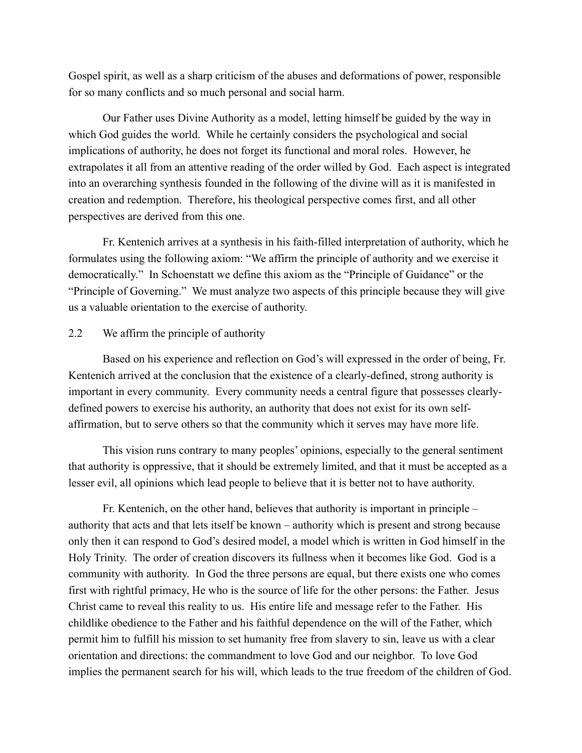Gospel spirit, as well as a sharp criticism of the abuses and deformations of power, responsible for so many conflicts and so much personal and social harm.

 Our Father uses Divine Authority as a model, letting himself be guided by the way in which God guides the world. While he certainly considers the psychological and social implications of authority, he does not forget its functional and moral roles. However, he extrapolates it all from an attentive reading of the order willed by God. Each aspect is integrated into an overarching synthesis founded in the following of the divine will as it is manifested in creation and redemption. Therefore, his theological perspective comes first, and all other perspectives are derived from this one.

 Fr. Kentenich arrives at a synthesis in his faith-filled interpretation of authority, which he formulates using the following axiom: "We affirm the principle of authority and we exercise it democratically." In Schoenstatt we define this axiom as the "Principle of Guidance" or the "Principle of Governing." We must analyze two aspects of this principle because they will give us a valuable orientation to the exercise of authority.

#### 2.2 We affirm the principle of authority

 Based on his experience and reflection on God's will expressed in the order of being, Fr. Kentenich arrived at the conclusion that the existence of a clearly-defined, strong authority is important in every community. Every community needs a central figure that possesses clearlydefined powers to exercise his authority, an authority that does not exist for its own selfaffirmation, but to serve others so that the community which it serves may have more life.

 This vision runs contrary to many peoples' opinions, especially to the general sentiment that authority is oppressive, that it should be extremely limited, and that it must be accepted as a lesser evil, all opinions which lead people to believe that it is better not to have authority.

 Fr. Kentenich, on the other hand, believes that authority is important in principle – authority that acts and that lets itself be known – authority which is present and strong because only then it can respond to God's desired model, a model which is written in God himself in the Holy Trinity. The order of creation discovers its fullness when it becomes like God. God is a community with authority. In God the three persons are equal, but there exists one who comes first with rightful primacy, He who is the source of life for the other persons: the Father. Jesus Christ came to reveal this reality to us. His entire life and message refer to the Father. His childlike obedience to the Father and his faithful dependence on the will of the Father, which permit him to fulfill his mission to set humanity free from slavery to sin, leave us with a clear orientation and directions: the commandment to love God and our neighbor. To love God implies the permanent search for his will, which leads to the true freedom of the children of God.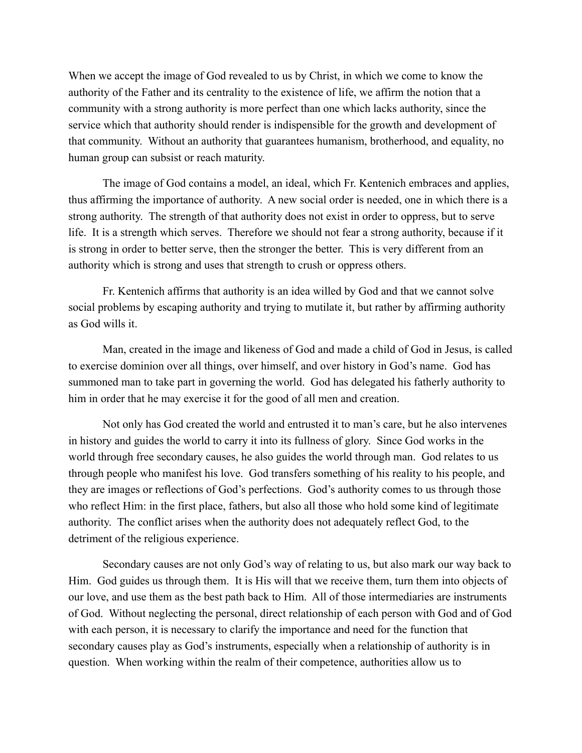When we accept the image of God revealed to us by Christ, in which we come to know the authority of the Father and its centrality to the existence of life, we affirm the notion that a community with a strong authority is more perfect than one which lacks authority, since the service which that authority should render is indispensible for the growth and development of that community. Without an authority that guarantees humanism, brotherhood, and equality, no human group can subsist or reach maturity.

 The image of God contains a model, an ideal, which Fr. Kentenich embraces and applies, thus affirming the importance of authority. A new social order is needed, one in which there is a strong authority. The strength of that authority does not exist in order to oppress, but to serve life. It is a strength which serves. Therefore we should not fear a strong authority, because if it is strong in order to better serve, then the stronger the better. This is very different from an authority which is strong and uses that strength to crush or oppress others.

 Fr. Kentenich affirms that authority is an idea willed by God and that we cannot solve social problems by escaping authority and trying to mutilate it, but rather by affirming authority as God wills it.

 Man, created in the image and likeness of God and made a child of God in Jesus, is called to exercise dominion over all things, over himself, and over history in God's name. God has summoned man to take part in governing the world. God has delegated his fatherly authority to him in order that he may exercise it for the good of all men and creation.

 Not only has God created the world and entrusted it to man's care, but he also intervenes in history and guides the world to carry it into its fullness of glory. Since God works in the world through free secondary causes, he also guides the world through man. God relates to us through people who manifest his love. God transfers something of his reality to his people, and they are images or reflections of God's perfections. God's authority comes to us through those who reflect Him: in the first place, fathers, but also all those who hold some kind of legitimate authority. The conflict arises when the authority does not adequately reflect God, to the detriment of the religious experience.

 Secondary causes are not only God's way of relating to us, but also mark our way back to Him. God guides us through them. It is His will that we receive them, turn them into objects of our love, and use them as the best path back to Him. All of those intermediaries are instruments of God. Without neglecting the personal, direct relationship of each person with God and of God with each person, it is necessary to clarify the importance and need for the function that secondary causes play as God's instruments, especially when a relationship of authority is in question. When working within the realm of their competence, authorities allow us to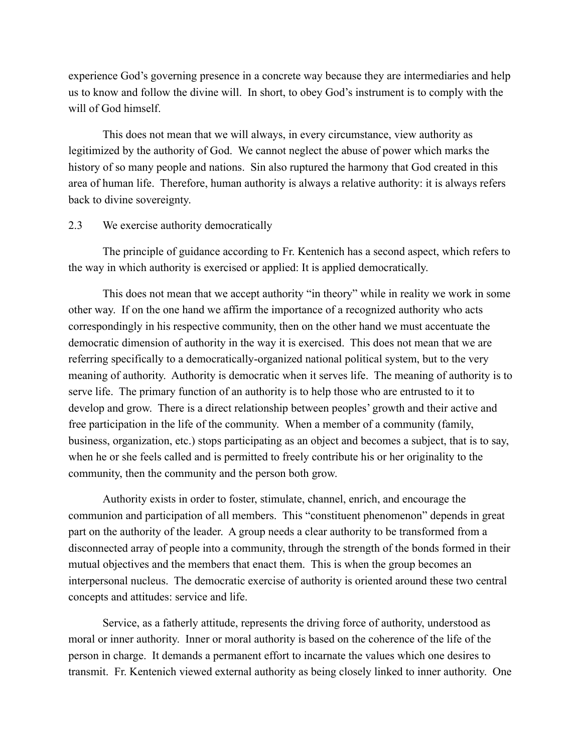experience God's governing presence in a concrete way because they are intermediaries and help us to know and follow the divine will. In short, to obey God's instrument is to comply with the will of God himself.

 This does not mean that we will always, in every circumstance, view authority as legitimized by the authority of God. We cannot neglect the abuse of power which marks the history of so many people and nations. Sin also ruptured the harmony that God created in this area of human life. Therefore, human authority is always a relative authority: it is always refers back to divine sovereignty.

### 2.3 We exercise authority democratically

 The principle of guidance according to Fr. Kentenich has a second aspect, which refers to the way in which authority is exercised or applied: It is applied democratically.

 This does not mean that we accept authority "in theory" while in reality we work in some other way. If on the one hand we affirm the importance of a recognized authority who acts correspondingly in his respective community, then on the other hand we must accentuate the democratic dimension of authority in the way it is exercised. This does not mean that we are referring specifically to a democratically-organized national political system, but to the very meaning of authority. Authority is democratic when it serves life. The meaning of authority is to serve life. The primary function of an authority is to help those who are entrusted to it to develop and grow. There is a direct relationship between peoples' growth and their active and free participation in the life of the community. When a member of a community (family, business, organization, etc.) stops participating as an object and becomes a subject, that is to say, when he or she feels called and is permitted to freely contribute his or her originality to the community, then the community and the person both grow.

 Authority exists in order to foster, stimulate, channel, enrich, and encourage the communion and participation of all members. This "constituent phenomenon" depends in great part on the authority of the leader. A group needs a clear authority to be transformed from a disconnected array of people into a community, through the strength of the bonds formed in their mutual objectives and the members that enact them. This is when the group becomes an interpersonal nucleus. The democratic exercise of authority is oriented around these two central concepts and attitudes: service and life.

 Service, as a fatherly attitude, represents the driving force of authority, understood as moral or inner authority. Inner or moral authority is based on the coherence of the life of the person in charge. It demands a permanent effort to incarnate the values which one desires to transmit. Fr. Kentenich viewed external authority as being closely linked to inner authority. One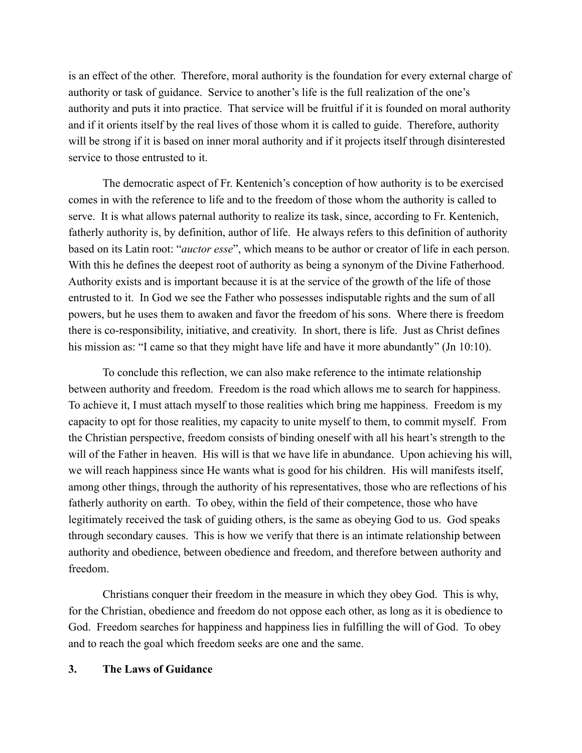is an effect of the other. Therefore, moral authority is the foundation for every external charge of authority or task of guidance. Service to another's life is the full realization of the one's authority and puts it into practice. That service will be fruitful if it is founded on moral authority and if it orients itself by the real lives of those whom it is called to guide. Therefore, authority will be strong if it is based on inner moral authority and if it projects itself through disinterested service to those entrusted to it.

 The democratic aspect of Fr. Kentenich's conception of how authority is to be exercised comes in with the reference to life and to the freedom of those whom the authority is called to serve. It is what allows paternal authority to realize its task, since, according to Fr. Kentenich, fatherly authority is, by definition, author of life. He always refers to this definition of authority based on its Latin root: "*auctor esse*", which means to be author or creator of life in each person. With this he defines the deepest root of authority as being a synonym of the Divine Fatherhood. Authority exists and is important because it is at the service of the growth of the life of those entrusted to it. In God we see the Father who possesses indisputable rights and the sum of all powers, but he uses them to awaken and favor the freedom of his sons. Where there is freedom there is co-responsibility, initiative, and creativity. In short, there is life. Just as Christ defines his mission as: "I came so that they might have life and have it more abundantly" (Jn 10:10).

 To conclude this reflection, we can also make reference to the intimate relationship between authority and freedom. Freedom is the road which allows me to search for happiness. To achieve it, I must attach myself to those realities which bring me happiness. Freedom is my capacity to opt for those realities, my capacity to unite myself to them, to commit myself. From the Christian perspective, freedom consists of binding oneself with all his heart's strength to the will of the Father in heaven. His will is that we have life in abundance. Upon achieving his will, we will reach happiness since He wants what is good for his children. His will manifests itself, among other things, through the authority of his representatives, those who are reflections of his fatherly authority on earth. To obey, within the field of their competence, those who have legitimately received the task of guiding others, is the same as obeying God to us. God speaks through secondary causes. This is how we verify that there is an intimate relationship between authority and obedience, between obedience and freedom, and therefore between authority and freedom.

 Christians conquer their freedom in the measure in which they obey God. This is why, for the Christian, obedience and freedom do not oppose each other, as long as it is obedience to God. Freedom searches for happiness and happiness lies in fulfilling the will of God. To obey and to reach the goal which freedom seeks are one and the same.

### **3. The Laws of Guidance**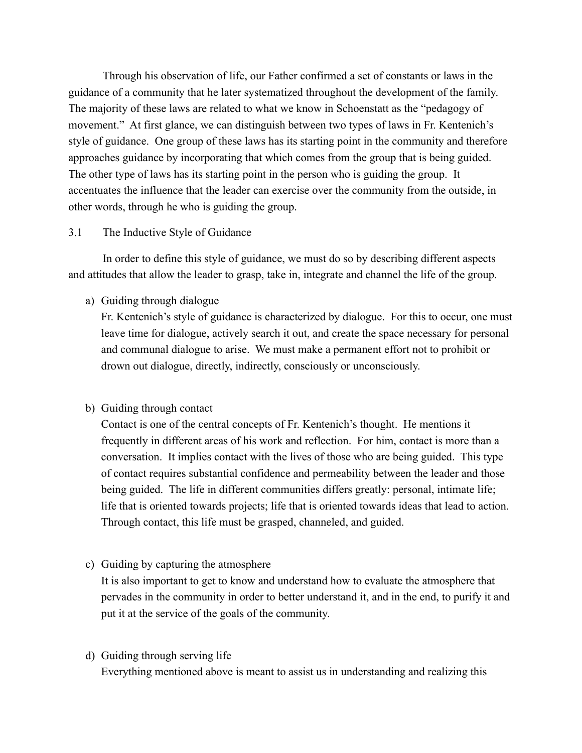Through his observation of life, our Father confirmed a set of constants or laws in the guidance of a community that he later systematized throughout the development of the family. The majority of these laws are related to what we know in Schoenstatt as the "pedagogy of movement." At first glance, we can distinguish between two types of laws in Fr. Kentenich's style of guidance. One group of these laws has its starting point in the community and therefore approaches guidance by incorporating that which comes from the group that is being guided. The other type of laws has its starting point in the person who is guiding the group. It accentuates the influence that the leader can exercise over the community from the outside, in other words, through he who is guiding the group.

### 3.1 The Inductive Style of Guidance

 In order to define this style of guidance, we must do so by describing different aspects and attitudes that allow the leader to grasp, take in, integrate and channel the life of the group.

a) Guiding through dialogue

Fr. Kentenich's style of guidance is characterized by dialogue. For this to occur, one must leave time for dialogue, actively search it out, and create the space necessary for personal and communal dialogue to arise. We must make a permanent effort not to prohibit or drown out dialogue, directly, indirectly, consciously or unconsciously.

### b) Guiding through contact

Contact is one of the central concepts of Fr. Kentenich's thought. He mentions it frequently in different areas of his work and reflection. For him, contact is more than a conversation. It implies contact with the lives of those who are being guided. This type of contact requires substantial confidence and permeability between the leader and those being guided. The life in different communities differs greatly: personal, intimate life; life that is oriented towards projects; life that is oriented towards ideas that lead to action. Through contact, this life must be grasped, channeled, and guided.

c) Guiding by capturing the atmosphere

It is also important to get to know and understand how to evaluate the atmosphere that pervades in the community in order to better understand it, and in the end, to purify it and put it at the service of the goals of the community.

d) Guiding through serving life Everything mentioned above is meant to assist us in understanding and realizing this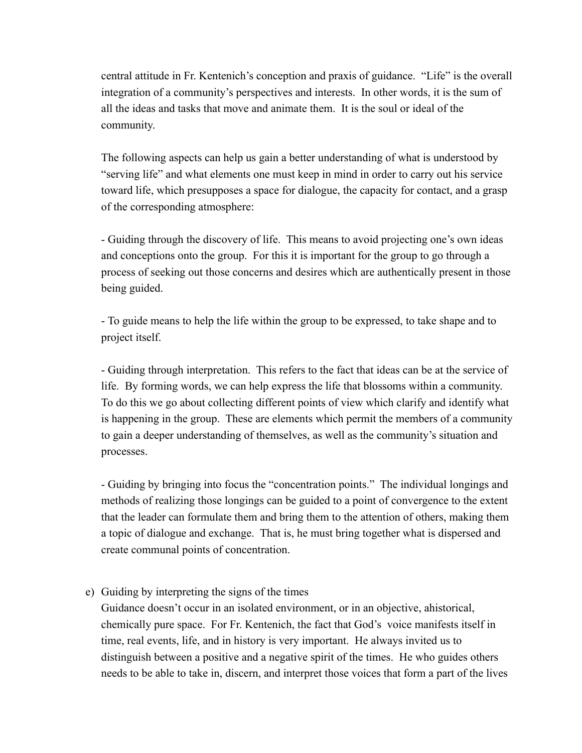central attitude in Fr. Kentenich's conception and praxis of guidance. "Life" is the overall integration of a community's perspectives and interests. In other words, it is the sum of all the ideas and tasks that move and animate them. It is the soul or ideal of the community.

The following aspects can help us gain a better understanding of what is understood by "serving life" and what elements one must keep in mind in order to carry out his service toward life, which presupposes a space for dialogue, the capacity for contact, and a grasp of the corresponding atmosphere:

- Guiding through the discovery of life. This means to avoid projecting one's own ideas and conceptions onto the group. For this it is important for the group to go through a process of seeking out those concerns and desires which are authentically present in those being guided.

- To guide means to help the life within the group to be expressed, to take shape and to project itself.

- Guiding through interpretation. This refers to the fact that ideas can be at the service of life. By forming words, we can help express the life that blossoms within a community. To do this we go about collecting different points of view which clarify and identify what is happening in the group. These are elements which permit the members of a community to gain a deeper understanding of themselves, as well as the community's situation and processes.

- Guiding by bringing into focus the "concentration points." The individual longings and methods of realizing those longings can be guided to a point of convergence to the extent that the leader can formulate them and bring them to the attention of others, making them a topic of dialogue and exchange. That is, he must bring together what is dispersed and create communal points of concentration.

### e) Guiding by interpreting the signs of the times

Guidance doesn't occur in an isolated environment, or in an objective, ahistorical, chemically pure space. For Fr. Kentenich, the fact that God's voice manifests itself in time, real events, life, and in history is very important. He always invited us to distinguish between a positive and a negative spirit of the times. He who guides others needs to be able to take in, discern, and interpret those voices that form a part of the lives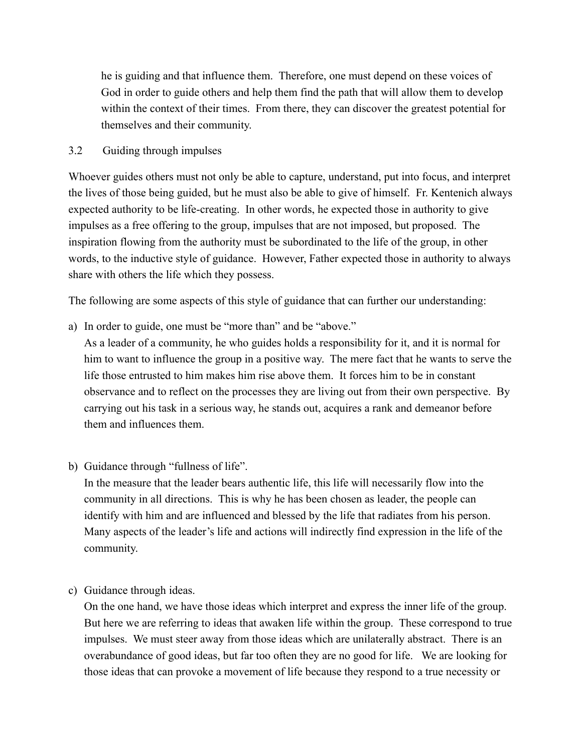he is guiding and that influence them. Therefore, one must depend on these voices of God in order to guide others and help them find the path that will allow them to develop within the context of their times. From there, they can discover the greatest potential for themselves and their community.

# 3.2 Guiding through impulses

Whoever guides others must not only be able to capture, understand, put into focus, and interpret the lives of those being guided, but he must also be able to give of himself. Fr. Kentenich always expected authority to be life-creating. In other words, he expected those in authority to give impulses as a free offering to the group, impulses that are not imposed, but proposed. The inspiration flowing from the authority must be subordinated to the life of the group, in other words, to the inductive style of guidance. However, Father expected those in authority to always share with others the life which they possess.

The following are some aspects of this style of guidance that can further our understanding:

a) In order to guide, one must be "more than" and be "above."

As a leader of a community, he who guides holds a responsibility for it, and it is normal for him to want to influence the group in a positive way. The mere fact that he wants to serve the life those entrusted to him makes him rise above them. It forces him to be in constant observance and to reflect on the processes they are living out from their own perspective. By carrying out his task in a serious way, he stands out, acquires a rank and demeanor before them and influences them.

b) Guidance through "fullness of life".

In the measure that the leader bears authentic life, this life will necessarily flow into the community in all directions. This is why he has been chosen as leader, the people can identify with him and are influenced and blessed by the life that radiates from his person. Many aspects of the leader's life and actions will indirectly find expression in the life of the community.

c) Guidance through ideas.

On the one hand, we have those ideas which interpret and express the inner life of the group. But here we are referring to ideas that awaken life within the group. These correspond to true impulses. We must steer away from those ideas which are unilaterally abstract. There is an overabundance of good ideas, but far too often they are no good for life. We are looking for those ideas that can provoke a movement of life because they respond to a true necessity or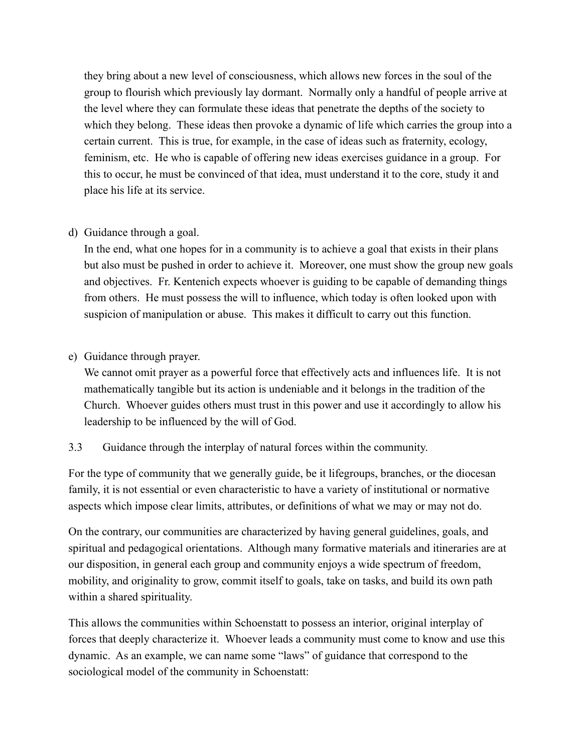they bring about a new level of consciousness, which allows new forces in the soul of the group to flourish which previously lay dormant. Normally only a handful of people arrive at the level where they can formulate these ideas that penetrate the depths of the society to which they belong. These ideas then provoke a dynamic of life which carries the group into a certain current. This is true, for example, in the case of ideas such as fraternity, ecology, feminism, etc. He who is capable of offering new ideas exercises guidance in a group. For this to occur, he must be convinced of that idea, must understand it to the core, study it and place his life at its service.

# d) Guidance through a goal.

In the end, what one hopes for in a community is to achieve a goal that exists in their plans but also must be pushed in order to achieve it. Moreover, one must show the group new goals and objectives. Fr. Kentenich expects whoever is guiding to be capable of demanding things from others. He must possess the will to influence, which today is often looked upon with suspicion of manipulation or abuse. This makes it difficult to carry out this function.

# e) Guidance through prayer.

We cannot omit prayer as a powerful force that effectively acts and influences life. It is not mathematically tangible but its action is undeniable and it belongs in the tradition of the Church. Whoever guides others must trust in this power and use it accordingly to allow his leadership to be influenced by the will of God.

# 3.3 Guidance through the interplay of natural forces within the community.

For the type of community that we generally guide, be it lifegroups, branches, or the diocesan family, it is not essential or even characteristic to have a variety of institutional or normative aspects which impose clear limits, attributes, or definitions of what we may or may not do.

On the contrary, our communities are characterized by having general guidelines, goals, and spiritual and pedagogical orientations. Although many formative materials and itineraries are at our disposition, in general each group and community enjoys a wide spectrum of freedom, mobility, and originality to grow, commit itself to goals, take on tasks, and build its own path within a shared spirituality.

This allows the communities within Schoenstatt to possess an interior, original interplay of forces that deeply characterize it. Whoever leads a community must come to know and use this dynamic. As an example, we can name some "laws" of guidance that correspond to the sociological model of the community in Schoenstatt: